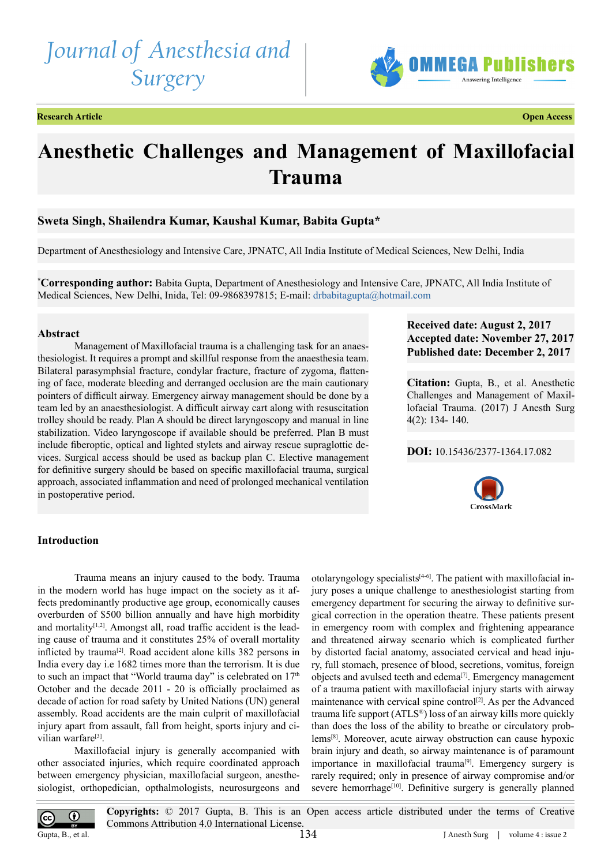# *Journal of Anesthesia and Surgery*



**Research Article Open Access**

## **Anesthetic Challenges and Management of Maxillofacial Trauma**

## **Sweta Singh, Shailendra Kumar, Kaushal Kumar, Babita Gupta\***

Department of Anesthesiology and Intensive Care, JPNATC, All India Institute of Medical Sciences, New Delhi, India

**\* Corresponding author:** Babita Gupta, Department of Anesthesiology and Intensive Care, JPNATC, All India Institute of Medical Sciences, New Delhi, Inida, Tel: 09-9868397815; E-mail: [drbabitagupta@hotmail.com](mailto:drbabitagupta@hotmail.com)

## **Abstract**

Management of Maxillofacial trauma is a challenging task for an anaesthesiologist. It requires a prompt and skillful response from the anaesthesia team. Bilateral parasymphsial fracture, condylar fracture, fracture of zygoma, flattening of face, moderate bleeding and derranged occlusion are the main cautionary pointers of difficult airway. Emergency airway management should be done by a team led by an anaesthesiologist. A difficult airway cart along with resuscitation trolley should be ready. Plan A should be direct laryngoscopy and manual in line stabilization. Video laryngoscope if available should be preferred. Plan B must include fiberoptic, optical and lighted stylets and airway rescue supraglottic devices. Surgical access should be used as backup plan C. Elective management for definitive surgery should be based on specific maxillofacial trauma, surgical approach, associated inflammation and need of prolonged mechanical ventilation in postoperative period.

## **Received date: August 2, 2017 Accepted date: November 27, 2017 Published date: December 2, 2017**

**Citation:** Gupta, B., et al. Anesthetic Challenges and Management of Maxillofacial Trauma. (2017) J Anesth Surg 4(2): 134- 140.

#### **DOI:** [10.15436/2377-1364.17.08](https://doi.org/10.15436/2377-1364.17.082)2



## **Introduction**

Trauma means an injury caused to the body. Trauma in the modern world has huge impact on the society as it affects predominantly productive age group, economically causes overburden of \$500 billion annually and have high morbidity and mortality $[1,2]$ . Amongst all, road traffic accident is the leading cause of trauma and it constitutes 25% of overall mortality inflicted by trauma[\[2\]](#page-4-1). Road accident alone kills 382 persons in India every day i.e 1682 times more than the terrorism. It is due to such an impact that "World trauma day" is celebrated on  $17<sup>th</sup>$ October and the decade 2011 - 20 is officially proclaimed as decade of action for road safety by United Nations (UN) general assembly. Road accidents are the main culprit of maxillofacial injury apart from assault, fall from height, sports injury and civilian warfare<sup>[3]</sup>.

Maxillofacial injury is generally accompanied with other associated injuries, which require coordinated approach between emergency physician, maxillofacial surgeon, anesthesiologist, orthopedician, opthalmologists, neurosurgeons and

otolaryngology specialists<sup>[4-6]</sup>. The patient with maxillofacial injury poses a unique challenge to anesthesiologist starting from emergency department for securing the airway to definitive surgical correction in the operation theatre. These patients present in emergency room with complex and frightening appearance and threatened airway scenario which is complicated further by distorted facial anatomy, associated cervical and head injury, full stomach, presence of blood, secretions, vomitus, foreign objects and avulsed teeth and edema<sup>[7]</sup>. Emergency management of a trauma patient with maxillofacial injury starts with airway maintenance with cervical spine control<sup>[2]</sup>. As per the Advanced trauma life support (ATLS®) loss of an airway kills more quickly than does the loss of the ability to breathe or circulatory problem[s\[8\].](#page-4-5) Moreover, acute airway obstruction can cause hypoxic brain injury and death, so airway maintenance is of paramount importance in maxillofacial trauma<sup>[9]</sup>. Emergency surgery is rarely required; only in presence of airway compromise and/or severe hemorrhage<sup>[\[10\]](#page-4-7)</sup>. Definitive surgery is generally planned

**Copyrights:** © 2017 Gupta, B. This is an Open access article distributed under the terms of Creative  $\bf G$ Commons Attribution 4.0 International License. Gupta, B., et al. 134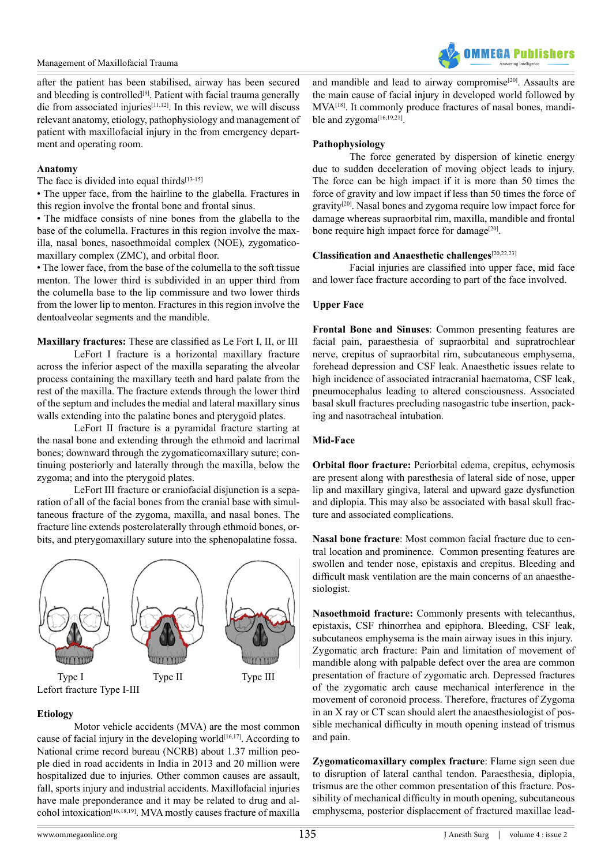

after the patient has been stabilised, airway has been secured and bleeding is controlled<sup>[\[9\]](#page-4-6)</sup>. Patient with facial trauma generally die from associated injuries $[11,12]$ . In this review, we will discuss relevant anatomy, etiology, pathophysiology and management of patient with maxillofacial injury in the from emergency department and operating room.

### **Anatomy**

The face is divided into equal thirds $[13-15]$ 

• The upper face, from the hairline to the glabella. Fractures in this region involve the frontal bone and frontal sinus.

• The midface consists of nine bones from the glabella to the base of the columella. Fractures in this region involve the maxilla, nasal bones, nasoethmoidal complex (NOE), zygomaticomaxillary complex (ZMC), and orbital floor.

• The lower face, from the base of the columella to the soft tissue menton. The lower third is subdivided in an upper third from the columella base to the lip commissure and two lower thirds from the lower lip to menton. Fractures in this region involve the dentoalveolar segments and the mandible.

## **Maxillary fractures:** These are classified as Le Fort I, II, or III

LeFort I fracture is a horizontal maxillary fracture across the inferior aspect of the maxilla separating the alveolar process containing the maxillary teeth and hard palate from the rest of the maxilla. The fracture extends through the lower third of the septum and includes the medial and lateral maxillary sinus walls extending into the palatine bones and pterygoid plates.

LeFort II fracture is a pyramidal fracture starting at the nasal bone and extending through the ethmoid and lacrimal bones; downward through the zygomaticomaxillary suture; continuing posteriorly and laterally through the maxilla, below the zygoma; and into the pterygoid plates.

LeFort III fracture or craniofacial disjunction is a separation of all of the facial bones from the cranial base with simultaneous fracture of the zygoma, maxilla, and nasal bones. The fracture line extends posterolaterally through ethmoid bones, orbits, and pterygomaxillary suture into the sphenopalatine fossa.



Lefort fracture Type I-III

## **Etiology**

Motor vehicle accidents (MVA) are the most common cause of facial injury in the developing world<sup>[16,17]</sup>. According to National crime record bureau (NCRB) about 1.37 million people died in road accidents in India in 2013 and 20 million were hospitalized due to injuries. Other common causes are assault, fall, sports injury and industrial accidents. Maxillofacial injuries have male preponderance and it may be related to drug and alcohol intoxication<sup>[16,18,19]</sup>. MVA mostly causes fracture of maxilla

and mandible and lead to airway compromise<sup>[20]</sup>. Assaults are the main cause of facial injury in developed world followed by MV[A\[18\].](#page-5-2) It commonly produce fractures of nasal bones, mandible and zvgoma<sup>[16,19,21]</sup>.

## **Pathophysiology**

The force generated by dispersion of kinetic energy due to sudden deceleration of moving object leads to injury. The force can be high impact if it is more than 50 times the force of gravity and low impact if less than 50 times the force of gravity[\[20\]](#page-5-1). Nasal bones and zygoma require low impact force for damage whereas supraorbital rim, maxilla, mandible and frontal bone require high impact force for damage<sup>[20]</sup>.

## **Classification and Anaesthetic challenges**[\[20,22,23\]](#page-5-1)

Facial injuries are classified into upper face, mid face and lower face fracture according to part of the face involved.

## **Upper Face**

**Frontal Bone and Sinuses**: Common presenting features are facial pain, paraesthesia of supraorbital and supratrochlear nerve, crepitus of supraorbital rim, subcutaneous emphysema, forehead depression and CSF leak. Anaesthetic issues relate to high incidence of associated intracranial haematoma, CSF leak, pneumocephalus leading to altered consciousness. Associated basal skull fractures precluding nasogastric tube insertion, packing and nasotracheal intubation.

## **Mid-Face**

**Orbital floor fracture:** Periorbital edema, crepitus, echymosis are present along with paresthesia of lateral side of nose, upper lip and maxillary gingiva, lateral and upward gaze dysfunction and diplopia. This may also be associated with basal skull fracture and associated complications.

**Nasal bone fracture**: Most common facial fracture due to central location and prominence. Common presenting features are swollen and tender nose, epistaxis and crepitus. Bleeding and difficult mask ventilation are the main concerns of an anaesthesiologist.

**Nasoethmoid fracture:** Commonly presents with telecanthus, epistaxis, CSF rhinorrhea and epiphora. Bleeding, CSF leak, subcutaneos emphysema is the main airway isues in this injury. Zygomatic arch fracture: Pain and limitation of movement of mandible along with palpable defect over the area are common presentation of fracture of zygomatic arch. Depressed fractures of the zygomatic arch cause mechanical interference in the movement of coronoid process. Therefore, fractures of Zygoma in an X ray or CT scan should alert the anaesthesiologist of possible mechanical difficulty in mouth opening instead of trismus and pain.

**Zygomaticomaxillary complex fracture**: Flame sign seen due to disruption of lateral canthal tendon. Paraesthesia, diplopia, trismus are the other common presentation of this fracture. Possibility of mechanical difficulty in mouth opening, subcutaneous emphysema, posterior displacement of fractured maxillae lead-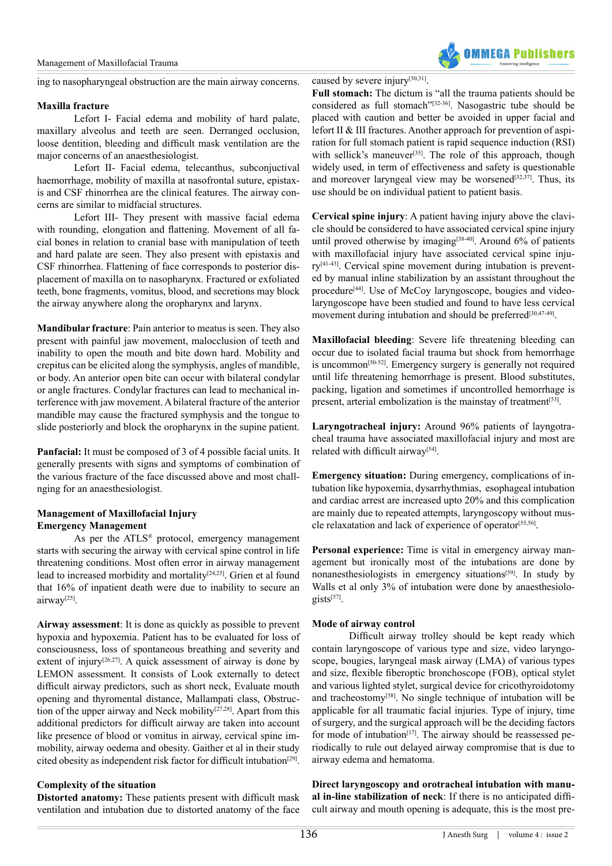

ing to nasopharyngeal obstruction are the main airway concerns.

#### **Maxilla fracture**

Lefort I- Facial edema and mobility of hard palate, maxillary alveolus and teeth are seen. Derranged occlusion, loose dentition, bleeding and difficult mask ventilation are the major concerns of an anaesthesiologist.

Lefort II- Facial edema, telecanthus, subconjuctival haemorrhage, mobility of maxilla at nasofrontal suture, epistaxis and CSF rhinorrhea are the clinical features. The airway concerns are similar to midfacial structures.

Lefort III- They present with massive facial edema with rounding, elongation and flattening. Movement of all facial bones in relation to cranial base with manipulation of teeth and hard palate are seen. They also present with epistaxis and CSF rhinorrhea. Flattening of face corresponds to posterior displacement of maxilla on to nasopharynx. Fractured or exfoliated teeth, bone fragments, vomitus, blood, and secretions may block the airway anywhere along the oropharynx and larynx.

**Mandibular fracture**: Pain anterior to meatus is seen. They also present with painful jaw movement, malocclusion of teeth and inability to open the mouth and bite down hard. Mobility and crepitus can be elicited along the symphysis, angles of mandible, or body. An anterior open bite can occur with bilateral condylar or angle fractures. Condylar fractures can lead to mechanical interference with jaw movement. A bilateral fracture of the anterior mandible may cause the fractured symphysis and the tongue to slide posteriorly and block the oropharynx in the supine patient.

**Panfacial:** It must be composed of 3 of 4 possible facial units. It generally presents with signs and symptoms of combination of the various fracture of the face discussed above and most challnging for an anaesthesiologist.

## **Management of Maxillofacial Injury Emergency Management**

As per the ATLS® protocol, emergency management starts with securing the airway with cervical spine control in life threatening conditions. Most often error in airway management lead to increased morbidity and mortality<sup>[24,25]</sup>. Grien et al found that 16% of inpatient death were due to inability to secure an airwa[y\[25\].](#page-5-4)

**Airway assessment**: It is done as quickly as possible to prevent hypoxia and hypoxemia. Patient has to be evaluated for loss of consciousness, loss of spontaneous breathing and severity and extent of injury<sup>[26,27]</sup>. A quick assessment of airway is done by LEMON assessment. It consists of Look externally to detect difficult airway predictors, such as short neck, Evaluate mouth opening and thyromental distance, Mallampati class, Obstruction of the upper airway and Neck mobility<sup>[27,28]</sup>. Apart from this additional predictors for difficult airway are taken into account like presence of blood or vomitus in airway, cervical spine immobility, airway oedema and obesity. Gaither et al in their study cited obesity as independent risk factor for difficult intubation<sup>[\[29\]](#page-5-7)</sup>.

## **Complexity of the situation**

**Distorted anatomy:** These patients present with difficult mask ventilation and intubation due to distorted anatomy of the face caused by severe injury[\[30,31\].](#page-5-8) **Full stomach:** The dictum is "all the trauma patients should be considered as full stomach"[\[32-36\]](#page-5-9). Nasogastric tube should be placed with caution and better be avoided in upper facial and lefort II & III fractures. Another approach for prevention of aspiration for full stomach patient is rapid sequence induction (RSI) with sellick's maneuver<sup>[35]</sup>. The role of this approach, though widely used, in term of effectiveness and safety is questionable and moreover laryngeal view may be worsened $[32,37]$ . Thus, its use should be on individual patient to patient basis.

**Cervical spine injury**: A patient having injury above the clavicle should be considered to have associated cervical spine injury until proved otherwise by imaging<sup>[\[38-40\]](#page-5-11)</sup>. Around  $6\%$  of patients with maxillofacial injury have associated cervical spine injury[\[41-43\]](#page-5-12). Cervical spine movement during intubation is prevented by manual inline stabilization by an assistant throughout the procedure<sup>[\[44\]](#page-5-13)</sup>. Use of McCoy laryngoscope, bougies and videolaryngoscope have been studied and found to have less cervical movement during intubation and should be preferred<sup>[\[30,47-49\]](#page-5-8)</sup>.

**Maxillofacial bleeding**: Severe life threatening bleeding can occur due to isolated facial trauma but shock from hemorrhage is uncommon[\[50-52\]](#page-6-0). Emergency surgery is generally not required until life threatening hemorrhage is present. Blood substitutes, packing, ligation and sometimes if uncontrolled hemorrhage is present, arterial embolization is the mainstay of treatment<sup>[53]</sup>.

**Laryngotracheal injury:** Around 96% patients of layngotracheal trauma have associated maxillofacial injury and most are related with difficult airway<sup>[54]</sup>.

**Emergency situation:** During emergency, complications of intubation like hypoxemia, dysarrhythmias, esophageal intubation and cardiac arrest are increased upto 20% and this complication are mainly due to repeated attempts, laryngoscopy without muscle relaxatation and lack of experience of operator<sup>[55,56]</sup>.

**Personal experience:** Time is vital in emergency airway management but ironically most of the intubations are done by nonanesthesiologists in emergency situations<sup>[\[59\]](#page-6-4)</sup>. In study by Walls et al only 3% of intubation were done by anaesthesiologists[\[57\].](#page-6-5)

## **Mode of airway control**

Difficult airway trolley should be kept ready which contain laryngoscope of various type and size, video laryngoscope, bougies, laryngeal mask airway (LMA) of various types and size, flexible fiberoptic bronchoscope (FOB), optical stylet and various lighted stylet, surgical device for cricothyroidotomy and tracheostomy<sup>[58]</sup>. No single technique of intubation will be applicable for all traumatic facial injuries. Type of injury, time of surgery, and the surgical approach will be the deciding factors for mode of intubation<sup>[\[17\]](#page-5-14)</sup>. The airway should be reassessed periodically to rule out delayed airway compromise that is due to airway edema and hematoma.

**Direct laryngoscopy and orotracheal intubation with manual in-line stabilization of neck**: If there is no anticipated difficult airway and mouth opening is adequate, this is the most pre-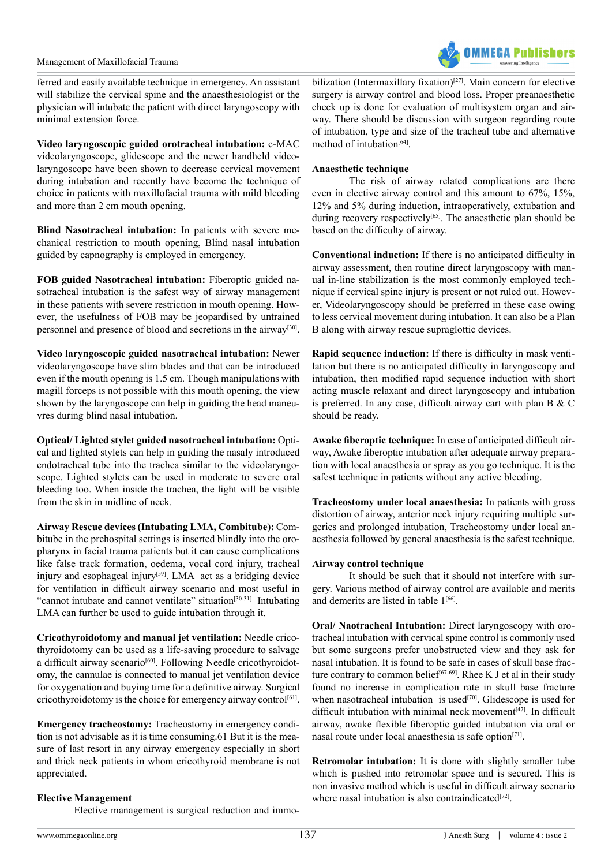

ferred and easily available technique in emergency. An assistant will stabilize the cervical spine and the anaesthesiologist or the physician will intubate the patient with direct laryngoscopy with minimal extension force.

**Video laryngoscopic guided orotracheal intubation:** c-MAC videolaryngoscope, glidescope and the newer handheld videolaryngoscope have been shown to decrease cervical movement during intubation and recently have become the technique of choice in patients with maxillofacial trauma with mild bleeding and more than 2 cm mouth opening.

**Blind Nasotracheal intubation:** In patients with severe mechanical restriction to mouth opening, Blind nasal intubation guided by capnography is employed in emergency.

**FOB guided Nasotracheal intubation:** Fiberoptic guided nasotracheal intubation is the safest way of airway management in these patients with severe restriction in mouth opening. However, the usefulness of FOB may be jeopardised by untrained personnel and presence of blood and secretions in the airwa[y\[30\]](#page-5-8).

**Video laryngoscopic guided nasotracheal intubation:** Newer videolaryngoscope have slim blades and that can be introduced even if the mouth opening is 1.5 cm. Though manipulations with magill forceps is not possible with this mouth opening, the view shown by the laryngoscope can help in guiding the head maneuvres during blind nasal intubation.

**Optical/ Lighted stylet guided nasotracheal intubation:** Optical and lighted stylets can help in guiding the nasaly introduced endotracheal tube into the trachea similar to the videolaryngoscope. Lighted stylets can be used in moderate to severe oral bleeding too. When inside the trachea, the light will be visible from the skin in midline of neck.

**Airway Rescue devices (Intubating LMA, Combitube):** Combitube in the prehospital settings is inserted blindly into the oropharynx in facial trauma patients but it can cause complications like false track formation, oedema, vocal cord injury, tracheal injury and esophageal injury<sup>[59]</sup>. LMA act as a bridging device for ventilation in difficult airway scenario and most useful in "cannot intubate and cannot ventilate" situation<sup>[\[30-31\]](#page-5-8)</sup> Intubating LMA can further be used to guide intubation through it.

**Cricothyroidotomy and manual jet ventilation:** Needle cricothyroidotomy can be used as a life-saving procedure to salvage a difficult airway scenario<sup>[\[60\]](#page-6-7)</sup>. Following Needle cricothyroidotomy, the cannulae is connected to manual jet ventilation device for oxygenation and buying time for a definitive airway. Surgical cricothyroidotomy is the choice for emergency airway control<sup>[61]</sup>.

**Emergency tracheostomy:** Tracheostomy in emergency condition is not advisable as it is time consuming.61 But it is the measure of last resort in any airway emergency especially in short and thick neck patients in whom cricothyroid membrane is not appreciated.

## **Elective Management**

Elective management is surgical reduction and immo-

bilization (Intermaxillary fixation)<sup>[27]</sup>. Main concern for elective surgery is airway control and blood loss. Proper preanaesthetic check up is done for evaluation of multisystem organ and airway. There should be discussion with surgeon regarding route of intubation, type and size of the tracheal tube and alternative method of intubation $[64]$ .

## **Anaesthetic technique**

The risk of airway related complications are there even in elective airway control and this amount to 67%, 15%, 12% and 5% during induction, intraoperatively, extubation and during recovery respectively<sup>[65]</sup>. The anaesthetic plan should be based on the difficulty of airway.

**Conventional induction:** If there is no anticipated difficulty in airway assessment, then routine direct laryngoscopy with manual in-line stabilization is the most commonly employed technique if cervical spine injury is present or not ruled out. However, Videolaryngoscopy should be preferred in these case owing to less cervical movement during intubation. It can also be a Plan B along with airway rescue supraglottic devices.

**Rapid sequence induction:** If there is difficulty in mask ventilation but there is no anticipated difficulty in laryngoscopy and intubation, then modified rapid sequence induction with short acting muscle relaxant and direct laryngoscopy and intubation is preferred. In any case, difficult airway cart with plan B & C should be ready.

**Awake fiberoptic technique:** In case of anticipated difficult airway, Awake fiberoptic intubation after adequate airway preparation with local anaesthesia or spray as you go technique. It is the safest technique in patients without any active bleeding.

**Tracheostomy under local anaesthesia:** In patients with gross distortion of airway, anterior neck injury requiring multiple surgeries and prolonged intubation, Tracheostomy under local anaesthesia followed by general anaesthesia is the safest technique.

## **Airway control technique**

It should be such that it should not interfere with surgery. Various method of airway control are available and merits and demerits are listed in table  $1^{[66]}$  $1^{[66]}$  $1^{[66]}$ .

**Oral/ Naotracheal Intubation:** Direct laryngoscopy with orotracheal intubation with cervical spine control is commonly used but some surgeons prefer unobstructed view and they ask for nasal intubation. It is found to be safe in cases of skull base fracture contrary to common belief<sup>[67-69]</sup>. Rhee K J et al in their study found no increase in complication rate in skull base fracture when nasotracheal intubation is used $[70]$ . Glidescope is used for difficult intubation with minimal neck movement<sup>[\[47\]](#page-5-15)</sup>. In difficult airway, awake flexible fiberoptic guided intubation via oral or nasal route under local anaesthesia is safe option<sup>[71]</sup>.

**Retromolar intubation:** It is done with slightly smaller tube which is pushed into retromolar space and is secured. This is non invasive method which is useful in difficult airway scenario where nasal intubation is also contraindicated $[72]$ .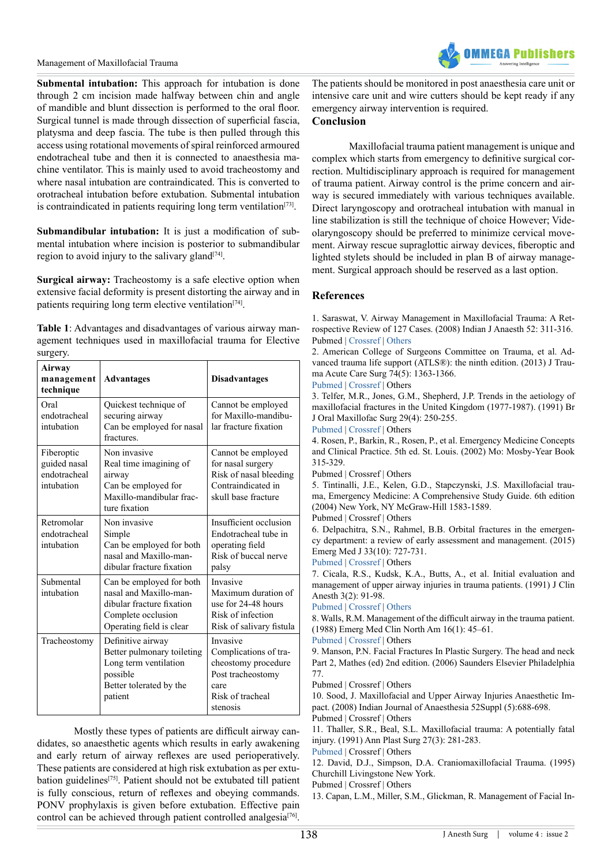#### Management of Maxillofacial Trauma



**Submental intubation:** This approach for intubation is done through 2 cm incision made halfway between chin and angle of mandible and blunt dissection is performed to the oral floor. Surgical tunnel is made through dissection of superficial fascia, platysma and deep fascia. The tube is then pulled through this access using rotational movements of spiral reinforced armoured endotracheal tube and then it is connected to anaesthesia machine ventilator. This is mainly used to avoid tracheostomy and where nasal intubation are contraindicated. This is converted to orotracheal intubation before extubation. Submental intubation is contraindicated in patients requiring long term ventilation $[73]$ .

**Submandibular intubation:** It is just a modification of submental intubation where incision is posterior to submandibular region to avoid injury to the salivary gland<sup> $[74]$ </sup>.

**Surgical airway:** Tracheostomy is a safe elective option when extensive facial deformity is present distorting the airway and in patients requiring long term elective ventilation<sup>[74]</sup>.

**Table 1**: Advantages and disadvantages of various airway management techniques used in maxillofacial trauma for Elective surgery.

| Airway<br>management<br>technique                        | <b>Advantages</b>                                                                                                                 | <b>Disadvantages</b>                                                                                                  |
|----------------------------------------------------------|-----------------------------------------------------------------------------------------------------------------------------------|-----------------------------------------------------------------------------------------------------------------------|
| Oral<br>endotracheal<br>intubation                       | Quickest technique of<br>securing airway<br>Can be employed for nasal<br>fractures.                                               | Cannot be employed<br>for Maxillo-mandibu-<br>lar fracture fixation                                                   |
| Fiberoptic<br>guided nasal<br>endotracheal<br>intubation | Non invasive<br>Real time imagining of<br>airway<br>Can be employed for<br>Maxillo-mandibular frac-<br>ture fixation              | Cannot be employed<br>for nasal surgery<br>Risk of nasal bleeding<br>Contraindicated in<br>skull base fracture        |
| Retromolar<br>endotracheal<br>intubation                 | Non invasive<br>Simple<br>Can be employed for both<br>nasal and Maxillo-man-<br>dibular fracture fixation                         | Insufficient occlusion<br>Endotracheal tube in<br>operating field<br>Risk of buccal nerve<br>palsy                    |
| Submental<br>intubation                                  | Can be employed for both<br>nasal and Maxillo-man-<br>dibular fracture fixation<br>Complete occlusion<br>Operating field is clear | Invasive<br>Maximum duration of<br>use for 24-48 hours<br>Risk of infection<br>Risk of salivary fistula               |
| Tracheostomy                                             | Definitive airway<br>Better pulmonary toileting<br>Long term ventilation<br>possible<br>Better tolerated by the<br>patient        | Invasive<br>Complications of tra-<br>cheostomy procedure<br>Post tracheostomy<br>care<br>Risk of tracheal<br>stenosis |

Mostly these types of patients are difficult airway candidates, so anaesthetic agents which results in early awakening and early return of airway reflexes are used perioperatively. These patients are considered at high risk extubation as per extubation guideline[s\[75\].](#page-6-18) Patient should not be extubated till patient is fully conscious, return of reflexes and obeying commands. PONV prophylaxis is given before extubation. Effective pain control can be achieved through patient controlled analgesia<sup>[76]</sup>.

The patients should be monitored in post anaesthesia care unit or intensive care unit and wire cutters should be kept ready if any emergency airway intervention is required.

## **Conclusion**

Maxillofacial trauma patient management is unique and complex which starts from emergency to definitive surgical correction. Multidisciplinary approach is required for management of trauma patient. Airway control is the prime concern and airway is secured immediately with various techniques available. Direct laryngoscopy and orotracheal intubation with manual in line stabilization is still the technique of choice However; Videolaryngoscopy should be preferred to minimize cervical movement. Airway rescue supraglottic airway devices, fiberoptic and lighted stylets should be included in plan B of airway management. Surgical approach should be reserved as a last option.

## **References**

<span id="page-4-0"></span>1. Saraswat, V. Airway Management in Maxillofacial Trauma: A Retrospective Review of 127 Cases. (2008) Indian J Anaesth 52: 311-316. Pubmed | [Crossref](http://www.ijaweb.org/text.asp?2008/52/3/311/60640) | [Others](http://www.ijaweb.org/article.asp?issn=0019-5049;year=2008;volume=52;issue=3;spage=311;epage=316;aulast=Saraswat)

<span id="page-4-1"></span>2. American College of Surgeons Committee on Trauma, et al. Advanced trauma life support (ATLS®): the ninth edition. (2013) J Trauma Acute Care Surg 74(5): 1363-1366.

[Pubmed](https://www.ncbi.nlm.nih.gov/pubmed/23609291) | [Crossref](https://doi.org/10.1097/TA.0b013e31828b82f5) | Others

<span id="page-4-2"></span>3. Telfer, M.R., Jones, G.M., Shepherd, J.P. Trends in the aetiology of maxillofacial fractures in the United Kingdom (1977-1987). (1991) Br J Oral Maxillofac Surg 29(4): 250-255.

[Pubmed](https://www.ncbi.nlm.nih.gov/pubmed/1911673) | [Crossref](https://doi.org/10.1016/0266-4356(91)90192-8) | Others

<span id="page-4-3"></span>4. Rosen, P., Barkin, R., Rosen, P., et al. Emergency Medicine Concepts and Clinical Practice. 5th ed. St. Louis. (2002) Mo: Mosby-Year Book 315-329.

Pubmed | Crossref | Others

5. Tintinalli, J.E., Kelen, G.D., Stapczynski, J.S. Maxillofacial trauma, Emergency Medicine: A Comprehensive Study Guide. 6th edition (2004) New York, NY McGraw-Hill 1583-1589.

Pubmed | Crossref | Others

6. Delpachitra, S.N., Rahmel, B.B. Orbital fractures in the emergency department: a review of early assessment and management. (2015) Emerg Med J 33(10): 727-731.

[Pubmed](https://www.ncbi.nlm.nih.gov/pubmed/26358976) | [Crossref](https://doi.org/10.1136/emermed-2015-205005) | Others

<span id="page-4-4"></span>7. Cicala, R.S., Kudsk, K.A., Butts, A., et al. Initial evaluation and management of upper airway injuries in trauma patients. (1991) J Clin Anesth 3(2): 91-98.

[Pubmed](https://www.ncbi.nlm.nih.gov/pubmed/2039650) | [Crossref](http://dx.doi.org/10.1016/0952-8180(91)90106-W) | [Others](https://www.researchgate.net/publication/21115663_Initial_evaluation_and_mangement_of_upper_airway_injuries_in_trauma_patients)

<span id="page-4-5"></span>8. Walls, R.M. Management of the difficult airway in the trauma patient. (1988) Emerg Med Clin North Am 16(1): 45–61.

[Pubmed](https://www.ncbi.nlm.nih.gov/pubmed/9496314) | [Crossref](http://dx.doi.org/10.1016/S0733-8627(05)70348-5) | Others

<span id="page-4-6"></span>9. Manson, P.N. Facial Fractures In Plastic Surgery. The head and neck Part 2, Mathes (ed) 2nd edition. (2006) Saunders Elsevier Philadelphia 77.

Pubmed | Crossref | Others

<span id="page-4-7"></span>10. Sood, J. Maxillofacial and Upper Airway Injuries Anaesthetic Impact. (2008) Indian Journal of Anaesthesia 52Suppl (5):688-698. Pubmed | Crossref | Others

<span id="page-4-8"></span>11. Thaller, S.R., Beal, S.L. Maxillofacial trauma: A potentially fatal injury. (1991) Ann Plast Surg 27(3): 281-283.

[Pubmed](https://www.ncbi.nlm.nih.gov/pubmed/1952756) | Crossref | Others

12. David, D.J., Simpson, D.A. Craniomaxillofacial Trauma. (1995) Churchill Livingstone New York.

Pubmed | Crossref | Others

<span id="page-4-9"></span>13. Capan, L.M., Miller, S.M., Glickman, R. Management of Facial In-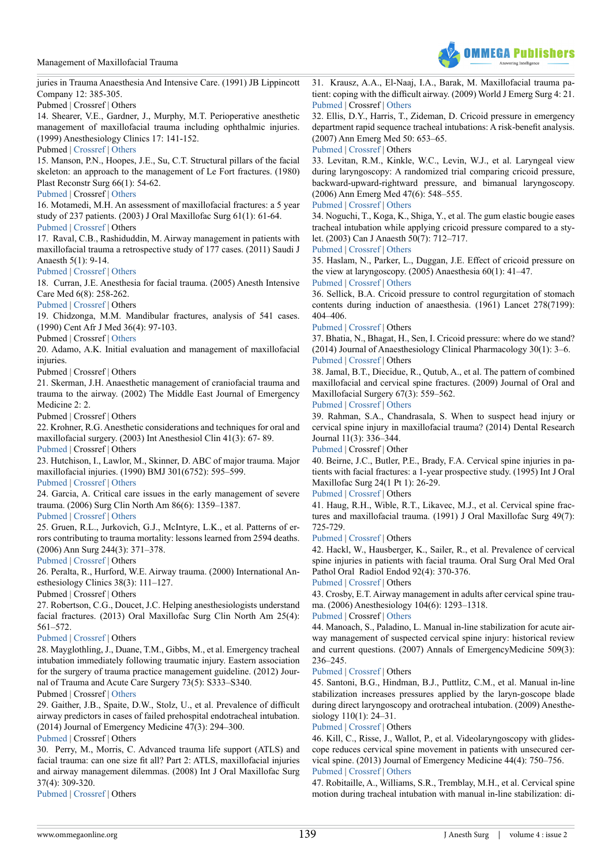Management of Maxillofacial Trauma



juries in Trauma Anaesthesia And Intensive Care. (1991) JB Lippincott Company 12: 385-305.

Pubmed | Crossref | Others

14. Shearer, V.E., Gardner, J., Murphy, M.T. Perioperative anesthetic management of maxillofacial trauma including ophthalmic injuries. (1999) Anesthesiology Clinics 17: 141-152.

Pubmed | [Crossref](http://dx.doi.org/10.1016/S0889-8537(05)70084-5) | [Others](http://www.anesthesiology.theclinics.com/article/S0889-8537(05)70084-5/fulltext)

15. Manson, P.N., Hoopes, J.E., Su, C.T. Structural pillars of the facial skeleton: an approach to the management of Le Fort fractures. (1980) Plast Reconstr Surg 66(1): 54-62.

#### [Pubmed](https://www.ncbi.nlm.nih.gov/pubmed/7394047) | Crossref | [Others](http://journals.lww.com/plasreconsurg/Citation/1980/07000/Structural_Pillars_of_the_Facial_Skeleton__An.11.aspx)

<span id="page-5-0"></span>16. Motamedi, M.H. An assessment of maxillofacial fractures: a 5 year study of 237 patients. (2003) J Oral Maxillofac Surg 61(1): 61-64.

[Pubmed](https://www.ncbi.nlm.nih.gov/pubmed/12524610) | [Crossref |](https://doi.org/10.1053/joms.2003.50049) Others

<span id="page-5-14"></span>17. Raval, C.B., Rashiduddin, M. Airway management in patients with maxillofacial trauma a retrospective study of 177 cases. (2011) Saudi J Anaesth 5(1): 9-14.

[Pubmed](https://www.ncbi.nlm.nih.gov/pmc/articles/PMC3101764/) | [Crossref](https://doi.org10.4103/1658-354X.76476) | [Others](https://www.researchgate.net/publication/51203071_Airway_management_in_patients_with_maxillofacial_trauma_-_A_retrospective_study_of_177_cases)

<span id="page-5-2"></span>18. Curran, J.E. Anesthesia for facial trauma. (2005) Anesth Intensive Care Med 6(8): 258-262.

[Pubmed](http://www.sciencedirect.com/science/article/pii/S1472029906700996) | [Crossref](https://doi.org/10.1383/anes.2005.6.8.258) | Others

19. Chidzonga, M.M. Mandibular fractures, analysis of 541 cases. (1990) Cent Afr J Med 36(4): 97-103.

Pubmed | Crossref | [Others](https://journals.co.za/content/CAJM/36/4/AJA00089176_411)

<span id="page-5-1"></span>20. Adamo, A.K. Initial evaluation and management of maxillofacial injuries

Pubmed | Crossref | Others

21. Skerman, J.H. Anaesthetic management of craniofacial trauma and trauma to the airway. (2002) The Middle East Journal of Emergency Medicine 2: 2.

Pubmed | Crossref | Others

22. Krohner, R.G. Anesthetic considerations and techniques for oral and maxillofacial surgery. (2003) Int Anesthesiol Clin 41(3): 67- 89. [Pubmed](https://www.ncbi.nlm.nih.gov/pubmed/12872026) | Crossref | Others

23. Hutchison, I., Lawlor, M., Skinner, D. ABC of major trauma. Major maxillofacial injuries. (1990) BMJ 301(6752): 595–599.

[Pubmed](https://www.ncbi.nlm.nih.gov/pubmed/2242459) | [Crossref](https://doi.org/10.1136/bmj.301.6752.595) | [Others](https://www.researchgate.net/publication/20912531_ABC_of_major_trauma_Major_maxillofacial_injuries)

<span id="page-5-3"></span>24. Garcia, A. Critical care issues in the early management of severe trauma. (2006) Surg Clin North Am 86(6): 1359–1387.

[Pubmed](https://www.ncbi.nlm.nih.gov/pmc/articles/PMC3413270/) | [Crossref](https://doi.org/10.1016/j.suc.2006.07.004) | [Others](https://www.researchgate.net/publication/6682361_Critical_Care_Issues_in_the_Early_Management_of_Severe_Trauma)

<span id="page-5-4"></span>25. Gruen, R.L., Jurkovich, G.J., McIntyre, L.K., et al. Patterns of errors contributing to trauma mortality: lessons learned from 2594 deaths. (2006) Ann Surg 244(3): 371–378.

[Pubmed](https://www.ncbi.nlm.nih.gov/pmc/articles/PMC1856538/) | [Crossref](https://doi.org/10.1097/01.sla.0000234655.83517.56) | Others

<span id="page-5-5"></span>26. Peralta, R., Hurford, W.E. Airway trauma. (2000) International Anesthesiology Clinics 38(3): 111–127.

Pubmed | Crossref | Others

<span id="page-5-6"></span>27. Robertson, C.G., Doucet, J.C. Helping anesthesiologists understand facial fractures. (2013) Oral Maxillofac Surg Clin North Am 25(4): 561–572.

#### [Pubmed](https://www.ncbi.nlm.nih.gov/pubmed/24021626) | [Crossref](https://doi.org/10.1016/j.coms.2013.07.005) | Others

28. Mayglothling, J., Duane, T.M., Gibbs, M., et al. Emergency tracheal intubation immediately following traumatic injury. Eastern association for the surgery of trauma practice management guideline. (2012) Journal of Trauma and Acute Care Surgery 73(5): S333–S340.

Pubmed | Crossref | [Others](https://www.east.org/education/practice-management-guidelines/emergency-tracheal-intubation-immediately-following-traumatic-injury)

<span id="page-5-7"></span>29. Gaither, J.B., Spaite, D.W., Stolz, U., et al. Prevalence of difficult airway predictors in cases of failed prehospital endotracheal intubation. (2014) Journal of Emergency Medicine 47(3): 294–300.

[Pubmed](https://www.ncbi.nlm.nih.gov/pubmed/24906900) | Crossref | Others

<span id="page-5-8"></span>30. Perry, M., Morris, C. Advanced trauma life support (ATLS) and facial trauma: can one size fit all? Part 2: ATLS, maxillofacial injuries and airway management dilemmas. (2008) Int J Oral Maxillofac Surg 37(4): 309-320.

[Pubmed](https://www.ncbi.nlm.nih.gov/pubmed/18207702) | [Crossref](https://doi.org/10.1016/j.ijom.2007.11.002) | Others

31. Krausz, A.A., El-Naaj, I.A., Barak, M. Maxillofacial trauma patient: coping with the difficult airway. (2009) World J Emerg Surg 4: 21. [Pubmed](https://www.ncbi.nlm.nih.gov/pmc/articles/PMC2693512/) | Crossref | [Others](https://www.researchgate.net/publication/26244864_Maxillofacial_trauma_patient_Coping_with_the_difficult_airway)

<span id="page-5-9"></span>32. Ellis, D.Y., Harris, T., Zideman, D. Cricoid pressure in emergency department rapid sequence tracheal intubations: A risk-benefit analysis. (2007) Ann Emerg Med 50: 653–65.

[Pubmed](https://www.ncbi.nlm.nih.gov/pubmed/17681642) | [Crossref](https://doi.org/10.1016/j.annemergmed.2007.05.006) | Others

33. Levitan, R.M., Kinkle, W.C., Levin, W.J., et al. Laryngeal view during laryngoscopy: A randomized trial comparing cricoid pressure, backward-upward-rightward pressure, and bimanual laryngoscopy. (2006) Ann Emerg Med 47(6): 548–555.

#### [Pubmed](https://www.ncbi.nlm.nih.gov/pubmed/16713784) | [Crossref](https://doi.org/10.1016/j.annemergmed.2006.01.013) | [Others](https://www.researchgate.net/publication/7067520_Laryngeal_View_During_Laryngoscopy_A_Randomized_Trial_Comparing_Cricoid_Pressure_Backward-Upward-Rightward_Pressure_and_Bimanual_Laryngoscopy)

34. Noguchi, T., Koga, K., Shiga, Y., et al. The gum elastic bougie eases tracheal intubation while applying cricoid pressure compared to a stylet. (2003) Can J Anaesth 50(7): 712–717.

[Pubmed](https://www.ncbi.nlm.nih.gov/pubmed/12944447) | [Crossref](https://doi.org/10.1007/BF03018715) | [Others](https://link.springer.com/article/10.1007/BF03018715)

<span id="page-5-10"></span>35. Haslam, N., Parker, L., Duggan, J.E. Effect of cricoid pressure on the view at laryngoscopy. (2005) Anaesthesia 60(1): 41–47.

## [Pubmed](https://www.ncbi.nlm.nih.gov/pubmed/15601271) | [Crossref](https://doi.org/10.1111/j.1365-2044.2004.04010.x) | [Others](http://onlinelibrary.wiley.com/doi/10.1111/j.1365-2044.2004.04010.x/abstract)

36. Sellick, B.A. Cricoid pressure to control regurgitation of stomach contents during induction of anaesthesia. (1961) Lancet 278(7199): 404–406.

[Pubmed](https://www.ncbi.nlm.nih.gov/pubmed/13749923) | [Crossref](https://doi.org/10.1016/S0140-6736(61)92485-0) | Others

37. Bhatia, N., Bhagat, H., Sen, I. Cricoid pressure: where do we stand? (2014) Journal of Anaesthesiology Clinical Pharmacology 30(1): 3–6. [Pubmed](https://www.ncbi.nlm.nih.gov/pmc/articles/PMC3927288/) | [Crossref](https://doi.org/10.4103/0970-9185.125683) | Others

<span id="page-5-11"></span>38. Jamal, B.T., Diecidue, R., Qutub, A., et al. The pattern of combined maxillofacial and cervical spine fractures. (2009) Journal of Oral and Maxillofacial Surgery 67(3): 559–562.

[Pubmed](https://www.ncbi.nlm.nih.gov/pubmed/19231780) | [Crossref](https://doi.org/10.1016/j.joms.2008.07.010) | [Others](https://www.researchgate.net/publication/246439702_The_Pattern_of_Combined_Maxillofacial_and_Cervical_Spine_Injuries)

39. Rahman, S.A., Chandrasala, S. When to suspect head injury or cervical spine injury in maxillofacial trauma? (2014) Dental Research Journal 11(3): 336–344.

[Pubmed](https://www.ncbi.nlm.nih.gov/pubmed/25097643) | Crossref | Other

40. Beirne, J.C., Butler, P.E., Brady, F.A. Cervical spine injuries in patients with facial fractures: a 1-year prospective study. (1995) Int J Oral Maxillofac Surg 24(1 Pt 1): 26-29.

[Pubmed](https://www.ncbi.nlm.nih.gov/pubmed/7782637) | [Crossref](https://doi.org/10.1016/S0901-5027(05)80852-5) | Others

<span id="page-5-12"></span>41. Haug, R.H., Wible, R.T., Likavec, M.J., et al. Cervical spine fractures and maxillofacial trauma. (1991) J Oral Maxillofac Surg 49(7): 725-729.

[Pubmed](https://www.ncbi.nlm.nih.gov/pubmed/17993866) | [Crossref](https://doi.org/10.1097/scs.0b013e31814e0581) | Others

42. Hackl, W., Hausberger, K., Sailer, R., et al. Prevalence of cervical spine injuries in patients with facial trauma. Oral Surg Oral Med Oral Pathol Oral Radiol Endod 92(4): 370-376.

[Pubmed](https://www.ncbi.nlm.nih.gov/pubmed/11598569) | [Crossref](https://doi.org/10.1067/moe.2001.116894) | Others

43. Crosby, E.T. Airway management in adults after cervical spine trauma. (2006) Anesthesiology 104(6): 1293–1318.

#### [Pubmed](https://www.ncbi.nlm.nih.gov/pubmed/16732102) | Crossref | [Others](https://www.researchgate.net/publication/7050951_Airway_Management_in_Adults_after_Cervical_Spine_Trauma)

<span id="page-5-13"></span>44. Manoach, S., Paladino, L. Manual in-line stabilization for acute airway management of suspected cervical spine injury: historical review and current questions. (2007) Annals of EmergencyMedicine 509(3): 236–245.

[Pubmed](https://www.ncbi.nlm.nih.gov/pubmed/17337093) [| Crossref](http://dx.doi.org/10.1016/j.annemergmed.2007.01.009) | Others

45. Santoni, B.G., Hindman, B.J., Puttlitz, C.M., et al. Manual in-line stabilization increases pressures applied by the laryn-goscope blade during direct laryngoscopy and orotracheal intubation. (2009) Anesthesiology 110(1): 24–31.

[Pubmed](https://www.ncbi.nlm.nih.gov/pubmed/19104166) | [Crossref](https://doi.org/10.1097/ALN.0b013e318190b556) | Others

46. Kill, C., Risse, J., Wallot, P., et al. Videolaryngoscopy with glidescope reduces cervical spine movement in patients with unsecured cervical spine. (2013) Journal of Emergency Medicine 44(4): 750–756. [Pubmed](https://www.ncbi.nlm.nih.gov/pubmed/23351572) | [Crossref](https://doi.org/10.1016/j.jemermed.2012.07.080) | [Others](https://www.researchgate.net/publication/235328008_Videolaryngoscopy_with_Glidescope_Reduces_Cervical_Spine_Movement_in_Patients_with_Unsecured_Cervical_Spine)

<span id="page-5-15"></span>47. Robitaille, A., Williams, S.R., Tremblay, M.H., et al. Cervical spine motion during tracheal intubation with manual in-line stabilization: di